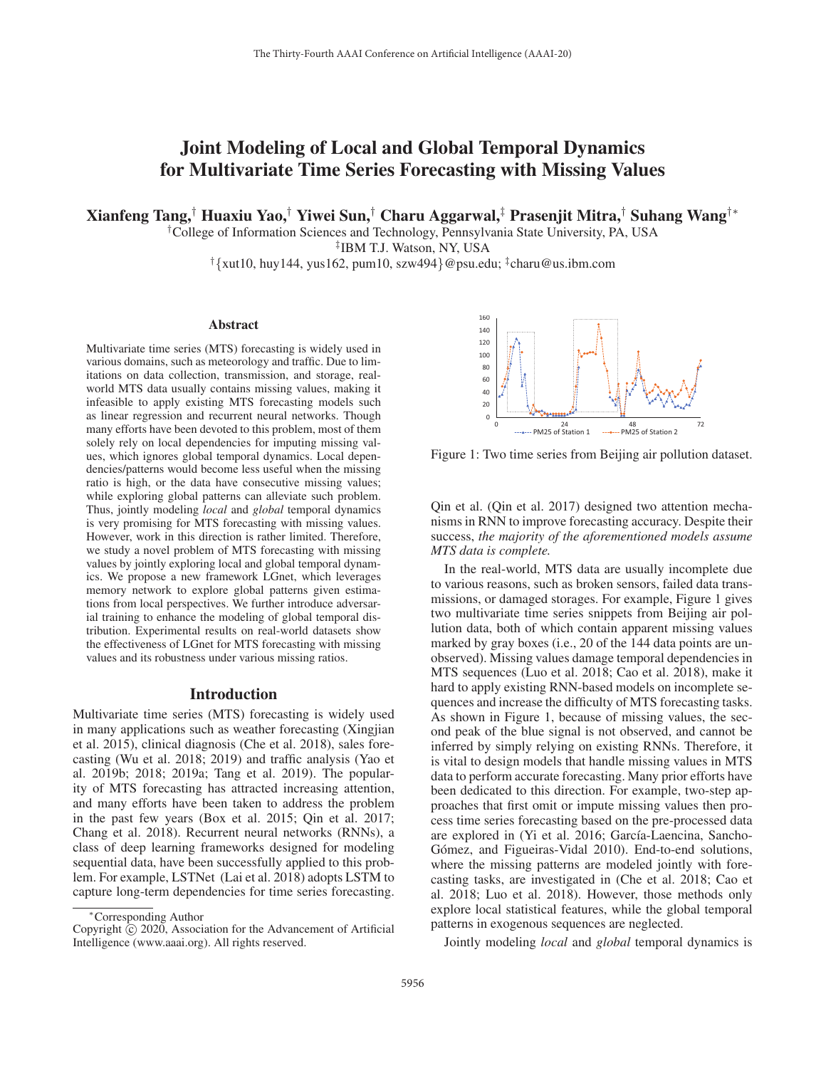# Joint Modeling of Local and Global Temporal Dynamics for Multivariate Time Series Forecasting with Missing Values

Xianfeng Tang,† Huaxiu Yao,† Yiwei Sun,† Charu Aggarwal,‡ Prasenjit Mitra,† Suhang Wang†∗

†College of Information Sciences and Technology, Pennsylvania State University, PA, USA

‡IBM T.J. Watson, NY, USA

 $\frac{1}{2}$  {xut10, huy144, yus162, pum10, szw494}@psu.edu;  $\frac{1}{2}$ charu@us.ibm.com

#### Abstract

Multivariate time series (MTS) forecasting is widely used in various domains, such as meteorology and traffic. Due to limitations on data collection, transmission, and storage, realworld MTS data usually contains missing values, making it infeasible to apply existing MTS forecasting models such as linear regression and recurrent neural networks. Though many efforts have been devoted to this problem, most of them solely rely on local dependencies for imputing missing values, which ignores global temporal dynamics. Local dependencies/patterns would become less useful when the missing ratio is high, or the data have consecutive missing values; while exploring global patterns can alleviate such problem. Thus, jointly modeling *local* and *global* temporal dynamics is very promising for MTS forecasting with missing values. However, work in this direction is rather limited. Therefore, we study a novel problem of MTS forecasting with missing values by jointly exploring local and global temporal dynamics. We propose a new framework LGnet, which leverages memory network to explore global patterns given estimations from local perspectives. We further introduce adversarial training to enhance the modeling of global temporal distribution. Experimental results on real-world datasets show the effectiveness of LGnet for MTS forecasting with missing values and its robustness under various missing ratios.

#### Introduction

Multivariate time series (MTS) forecasting is widely used in many applications such as weather forecasting (Xingjian et al. 2015), clinical diagnosis (Che et al. 2018), sales forecasting (Wu et al. 2018; 2019) and traffic analysis (Yao et al. 2019b; 2018; 2019a; Tang et al. 2019). The popularity of MTS forecasting has attracted increasing attention, and many efforts have been taken to address the problem in the past few years (Box et al. 2015; Qin et al. 2017; Chang et al. 2018). Recurrent neural networks (RNNs), a class of deep learning frameworks designed for modeling sequential data, have been successfully applied to this problem. For example, LSTNet (Lai et al. 2018) adopts LSTM to capture long-term dependencies for time series forecasting.



Figure 1: Two time series from Beijing air pollution dataset.

Qin et al. (Qin et al. 2017) designed two attention mechanisms in RNN to improve forecasting accuracy. Despite their success, *the majority of the aforementioned models assume MTS data is complete.*

In the real-world, MTS data are usually incomplete due to various reasons, such as broken sensors, failed data transmissions, or damaged storages. For example, Figure 1 gives two multivariate time series snippets from Beijing air pollution data, both of which contain apparent missing values marked by gray boxes (i.e., 20 of the 144 data points are unobserved). Missing values damage temporal dependencies in MTS sequences (Luo et al. 2018; Cao et al. 2018), make it hard to apply existing RNN-based models on incomplete sequences and increase the difficulty of MTS forecasting tasks. As shown in Figure 1, because of missing values, the second peak of the blue signal is not observed, and cannot be inferred by simply relying on existing RNNs. Therefore, it is vital to design models that handle missing values in MTS data to perform accurate forecasting. Many prior efforts have been dedicated to this direction. For example, two-step approaches that first omit or impute missing values then process time series forecasting based on the pre-processed data are explored in (Yi et al. 2016; García-Laencina, Sancho-Gómez, and Figueiras-Vidal 2010). End-to-end solutions, where the missing patterns are modeled jointly with forecasting tasks, are investigated in (Che et al. 2018; Cao et al. 2018; Luo et al. 2018). However, those methods only explore local statistical features, while the global temporal patterns in exogenous sequences are neglected.

Jointly modeling *local* and *global* temporal dynamics is

<sup>∗</sup>Corresponding Author

Copyright  $\odot$  2020, Association for the Advancement of Artificial Intelligence (www.aaai.org). All rights reserved.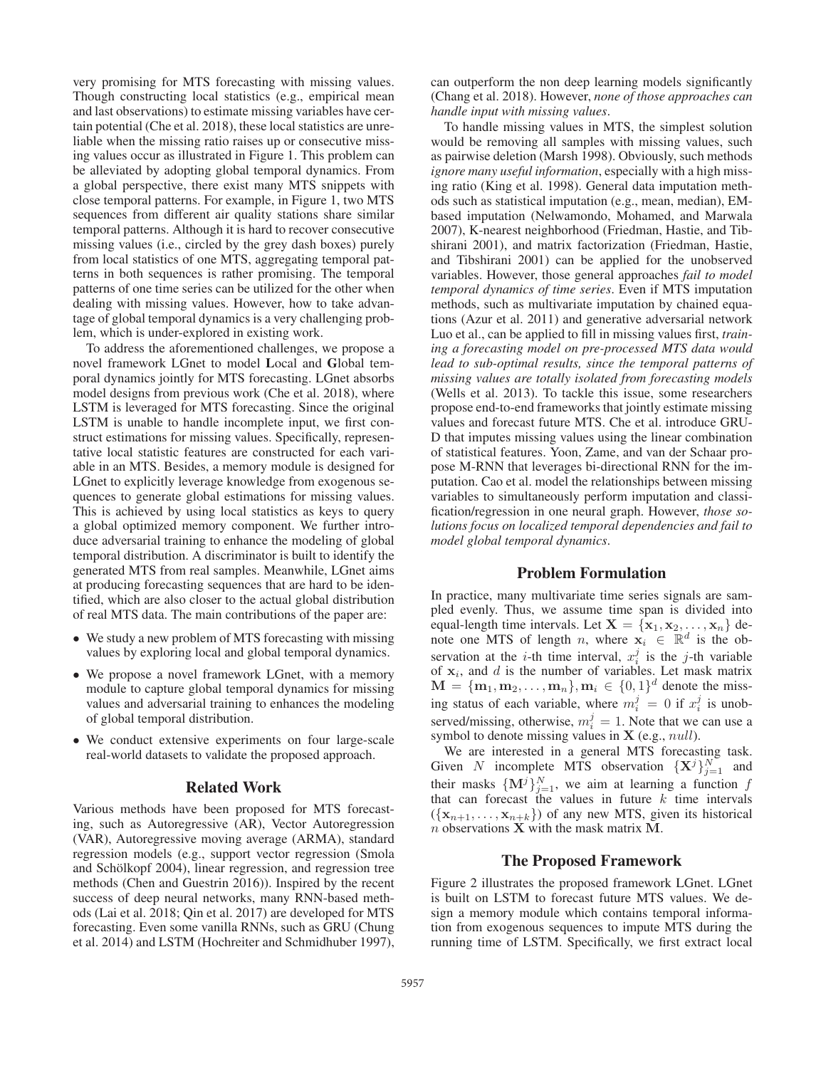very promising for MTS forecasting with missing values. Though constructing local statistics (e.g., empirical mean and last observations) to estimate missing variables have certain potential (Che et al. 2018), these local statistics are unreliable when the missing ratio raises up or consecutive missing values occur as illustrated in Figure 1. This problem can be alleviated by adopting global temporal dynamics. From a global perspective, there exist many MTS snippets with close temporal patterns. For example, in Figure 1, two MTS sequences from different air quality stations share similar temporal patterns. Although it is hard to recover consecutive missing values (i.e., circled by the grey dash boxes) purely from local statistics of one MTS, aggregating temporal patterns in both sequences is rather promising. The temporal patterns of one time series can be utilized for the other when dealing with missing values. However, how to take advantage of global temporal dynamics is a very challenging problem, which is under-explored in existing work.

To address the aforementioned challenges, we propose a novel framework LGnet to model Local and Global temporal dynamics jointly for MTS forecasting. LGnet absorbs model designs from previous work (Che et al. 2018), where LSTM is leveraged for MTS forecasting. Since the original LSTM is unable to handle incomplete input, we first construct estimations for missing values. Specifically, representative local statistic features are constructed for each variable in an MTS. Besides, a memory module is designed for LGnet to explicitly leverage knowledge from exogenous sequences to generate global estimations for missing values. This is achieved by using local statistics as keys to query a global optimized memory component. We further introduce adversarial training to enhance the modeling of global temporal distribution. A discriminator is built to identify the generated MTS from real samples. Meanwhile, LGnet aims at producing forecasting sequences that are hard to be identified, which are also closer to the actual global distribution of real MTS data. The main contributions of the paper are:

- We study a new problem of MTS forecasting with missing values by exploring local and global temporal dynamics.
- We propose a novel framework LGnet, with a memory module to capture global temporal dynamics for missing values and adversarial training to enhances the modeling of global temporal distribution.
- We conduct extensive experiments on four large-scale real-world datasets to validate the proposed approach.

## Related Work

Various methods have been proposed for MTS forecasting, such as Autoregressive (AR), Vector Autoregression (VAR), Autoregressive moving average (ARMA), standard regression models (e.g., support vector regression (Smola and Schölkopf 2004), linear regression, and regression tree methods (Chen and Guestrin 2016)). Inspired by the recent success of deep neural networks, many RNN-based methods (Lai et al. 2018; Qin et al. 2017) are developed for MTS forecasting. Even some vanilla RNNs, such as GRU (Chung et al. 2014) and LSTM (Hochreiter and Schmidhuber 1997),

can outperform the non deep learning models significantly (Chang et al. 2018). However, *none of those approaches can handle input with missing values*.

To handle missing values in MTS, the simplest solution would be removing all samples with missing values, such as pairwise deletion (Marsh 1998). Obviously, such methods *ignore many useful information*, especially with a high missing ratio (King et al. 1998). General data imputation methods such as statistical imputation (e.g., mean, median), EMbased imputation (Nelwamondo, Mohamed, and Marwala 2007), K-nearest neighborhood (Friedman, Hastie, and Tibshirani 2001), and matrix factorization (Friedman, Hastie, and Tibshirani 2001) can be applied for the unobserved variables. However, those general approaches *fail to model temporal dynamics of time series*. Even if MTS imputation methods, such as multivariate imputation by chained equations (Azur et al. 2011) and generative adversarial network Luo et al., can be applied to fill in missing values first, *training a forecasting model on pre-processed MTS data would lead to sub-optimal results, since the temporal patterns of missing values are totally isolated from forecasting models* (Wells et al. 2013). To tackle this issue, some researchers propose end-to-end frameworks that jointly estimate missing values and forecast future MTS. Che et al. introduce GRU-D that imputes missing values using the linear combination of statistical features. Yoon, Zame, and van der Schaar propose M-RNN that leverages bi-directional RNN for the imputation. Cao et al. model the relationships between missing variables to simultaneously perform imputation and classification/regression in one neural graph. However, *those solutions focus on localized temporal dependencies and fail to model global temporal dynamics*.

#### Problem Formulation

In practice, many multivariate time series signals are sampled evenly. Thus, we assume time span is divided into equal-length time intervals. Let  $X = \{x_1, x_2, \ldots, x_n\}$  denote one MTS of length *n*, where  $\mathbf{x}_i \in \mathbb{R}^d$  is the observation at the *i*-th time interval,  $x_i^j$  is the *j*-th variable of  $x_i$ , and  $d$  is the number of variables. Let mask matrix  $M = {m_1, m_2,..., m_n}, m_i \in {0, 1}^d$  denote the missing status of each variable, where  $m_i^j = 0$  if  $x_i^j$  is unobserved/missing, otherwise,  $m_i^j = 1$ . Note that we can use a symbol to denote missing values in **X** (e.g., null).

We are interested in a general MTS forecasting task. Given N incomplete MTS observation  $\{X^j\}_{j=1}^N$  and their masks  $\{M^j\}_{j=1}^N$ , we aim at learning a function f that can forecast the values in future  $k$  time intervals  $({x_{n+1},...,x_{n+k}})$  of any new MTS, given its historical n observations **X** with the mask matrix **M**.

# The Proposed Framework

Figure 2 illustrates the proposed framework LGnet. LGnet is built on LSTM to forecast future MTS values. We design a memory module which contains temporal information from exogenous sequences to impute MTS during the running time of LSTM. Specifically, we first extract local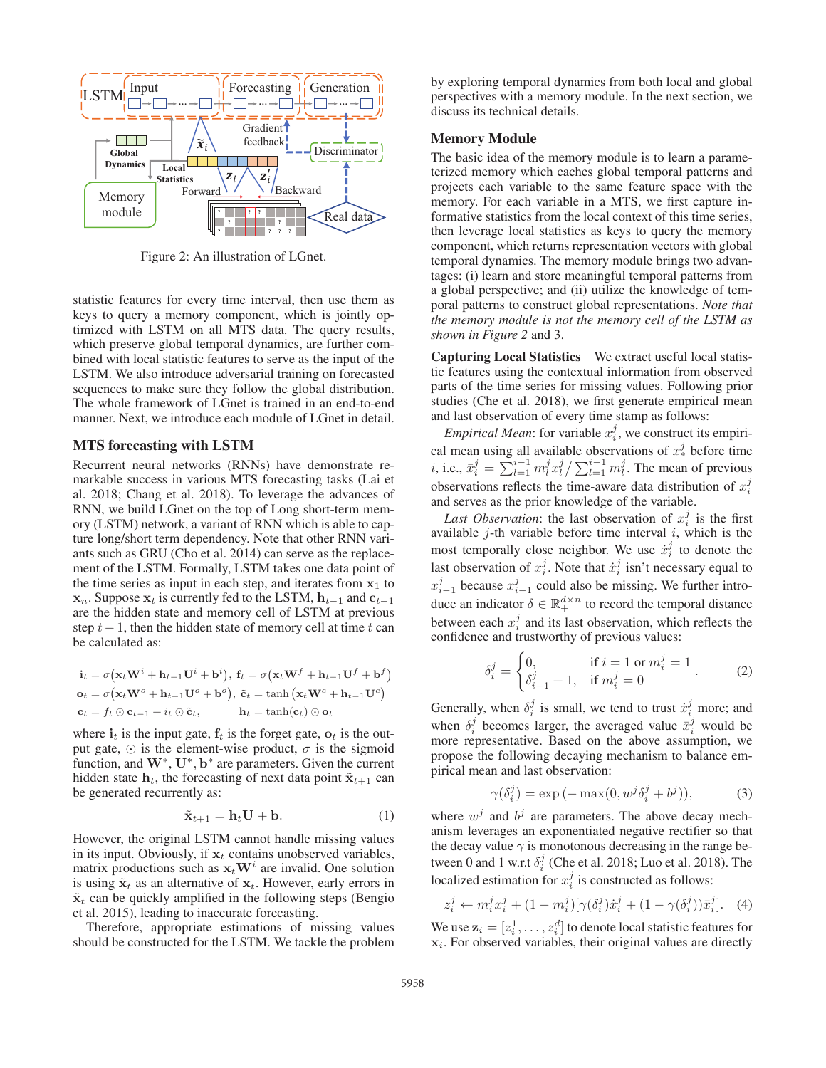

Figure 2: An illustration of LGnet.

statistic features for every time interval, then use them as keys to query a memory component, which is jointly optimized with LSTM on all MTS data. The query results, which preserve global temporal dynamics, are further combined with local statistic features to serve as the input of the LSTM. We also introduce adversarial training on forecasted sequences to make sure they follow the global distribution. The whole framework of LGnet is trained in an end-to-end manner. Next, we introduce each module of LGnet in detail.

#### MTS forecasting with LSTM

Recurrent neural networks (RNNs) have demonstrate remarkable success in various MTS forecasting tasks (Lai et al. 2018; Chang et al. 2018). To leverage the advances of RNN, we build LGnet on the top of Long short-term memory (LSTM) network, a variant of RNN which is able to capture long/short term dependency. Note that other RNN variants such as GRU (Cho et al. 2014) can serve as the replacement of the LSTM. Formally, LSTM takes one data point of the time series as input in each step, and iterates from  $x_1$  to **x**<sub>n</sub>. Suppose **x**<sub>t</sub> is currently fed to the LSTM,  $\mathbf{h}_{t-1}$  and  $\mathbf{c}_{t-1}$ are the hidden state and memory cell of LSTM at previous step  $t-1$ , then the hidden state of memory cell at time t can be calculated as:

$$
\mathbf{i}_t = \sigma(\mathbf{x}_t \mathbf{W}^i + \mathbf{h}_{t-1} \mathbf{U}^i + \mathbf{b}^i), \ \mathbf{f}_t = \sigma(\mathbf{x}_t \mathbf{W}^f + \mathbf{h}_{t-1} \mathbf{U}^f + \mathbf{b}^f)
$$
\n
$$
\mathbf{o}_t = \sigma(\mathbf{x}_t \mathbf{W}^o + \mathbf{h}_{t-1} \mathbf{U}^o + \mathbf{b}^o), \ \tilde{\mathbf{c}}_t = \tanh(\mathbf{x}_t \mathbf{W}^c + \mathbf{h}_{t-1} \mathbf{U}^c)
$$
\n
$$
\mathbf{c}_t = f_t \odot \mathbf{c}_{t-1} + i_t \odot \tilde{\mathbf{c}}_t, \qquad \mathbf{h}_t = \tanh(\mathbf{c}_t) \odot \mathbf{o}_t
$$

where  $\mathbf{i}_t$  is the input gate,  $\mathbf{f}_t$  is the forget gate,  $\mathbf{o}_t$  is the output gate,  $\odot$  is the element-wise product,  $\sigma$  is the sigmoid function, and **W**∗, **U**∗, **b**<sup>∗</sup> are parameters. Given the current hidden state  $h_t$ , the forecasting of next data point  $\tilde{\mathbf{x}}_{t+1}$  can be generated recurrently as:

$$
\tilde{\mathbf{x}}_{t+1} = \mathbf{h}_t \mathbf{U} + \mathbf{b}.\tag{1}
$$

However, the original LSTM cannot handle missing values in its input. Obviously, if  $x_t$  contains unobserved variables, matrix productions such as  $\mathbf{x}_t \mathbf{W}^i$  are invalid. One solution is using  $\tilde{\mathbf{x}}_t$  as an alternative of  $\mathbf{x}_t$ . However, early errors in  $\tilde{\mathbf{x}}_t$  can be quickly amplified in the following steps (Bengio et al. 2015), leading to inaccurate forecasting.

Therefore, appropriate estimations of missing values should be constructed for the LSTM. We tackle the problem by exploring temporal dynamics from both local and global perspectives with a memory module. In the next section, we discuss its technical details.

# Memory Module

The basic idea of the memory module is to learn a parameterized memory which caches global temporal patterns and projects each variable to the same feature space with the memory. For each variable in a MTS, we first capture informative statistics from the local context of this time series, then leverage local statistics as keys to query the memory component, which returns representation vectors with global temporal dynamics. The memory module brings two advantages: (i) learn and store meaningful temporal patterns from a global perspective; and (ii) utilize the knowledge of temporal patterns to construct global representations. *Note that the memory module is not the memory cell of the LSTM as shown in Figure 2* and 3.

Capturing Local Statistics We extract useful local statistic features using the contextual information from observed parts of the time series for missing values. Following prior studies (Che et al. 2018), we first generate empirical mean and last observation of every time stamp as follows:

*Empirical Mean*: for variable  $x_i^j$ , we construct its empirical mean using all available observations of  $x^j_*$  before time *i*, i.e.,  $\bar{x}_i^j = \sum_{l=1}^{i-1} m_l^j x_l^j / \sum_{l=1}^{i-1} m_l^j$ . The mean of previous observations reflects the time-aware data distribution of  $x_i^j$ and serves as the prior knowledge of the variable.

*Last Observation*: the last observation of  $x_i^j$  is the first available  $j$ -th variable before time interval  $i$ , which is the most temporally close neighbor. We use  $\dot{x}_i^j$  to denote the last observation of  $x_i^j$ . Note that  $\dot{x}_i^j$  isn't necessary equal to  $x_{i-1}^j$  because  $x_{i-1}^j$  could also be missing. We further introduce an indicator  $\delta \in \mathbb{R}_+^{d \times n}$  to record the temporal distance between each  $x_i^j$  and its last observation, which reflects the confidence and trustworthy of previous values:

$$
\delta_i^j = \begin{cases} 0, & \text{if } i = 1 \text{ or } m_i^j = 1 \\ \delta_{i-1}^j + 1, & \text{if } m_i^j = 0 \end{cases} .
$$
 (2)

Generally, when  $\delta_i^j$  is small, we tend to trust  $\dot{x}_i^j$  more; and when  $\delta_i^j$  becomes larger, the averaged value  $\bar{x}_i^j$  would be more representative. Based on the above assumption, we propose the following decaying mechanism to balance empirical mean and last observation:

$$
\gamma(\delta_i^j) = \exp(-\max(0, w^j \delta_i^j + b^j)),\tag{3}
$$

where  $w^j$  and  $b^j$  are parameters. The above decay mechanism leverages an exponentiated negative rectifier so that the decay value  $\gamma$  is monotonous decreasing in the range between 0 and 1 w.r.t  $\delta_i^j$  (Che et al. 2018; Luo et al. 2018). The localized estimation for  $x_i^j$  is constructed as follows:

$$
z_i^j \leftarrow m_i^j x_i^j + (1 - m_i^j) [\gamma(\delta_i^j) \dot{x}_i^j + (1 - \gamma(\delta_i^j)) \bar{x}_i^j].
$$
 (4)

We use  $z_i = [z_i^1, \ldots, z_i^d]$  to denote local statistic features for  $x_i$ . For observed variables, their original values are directly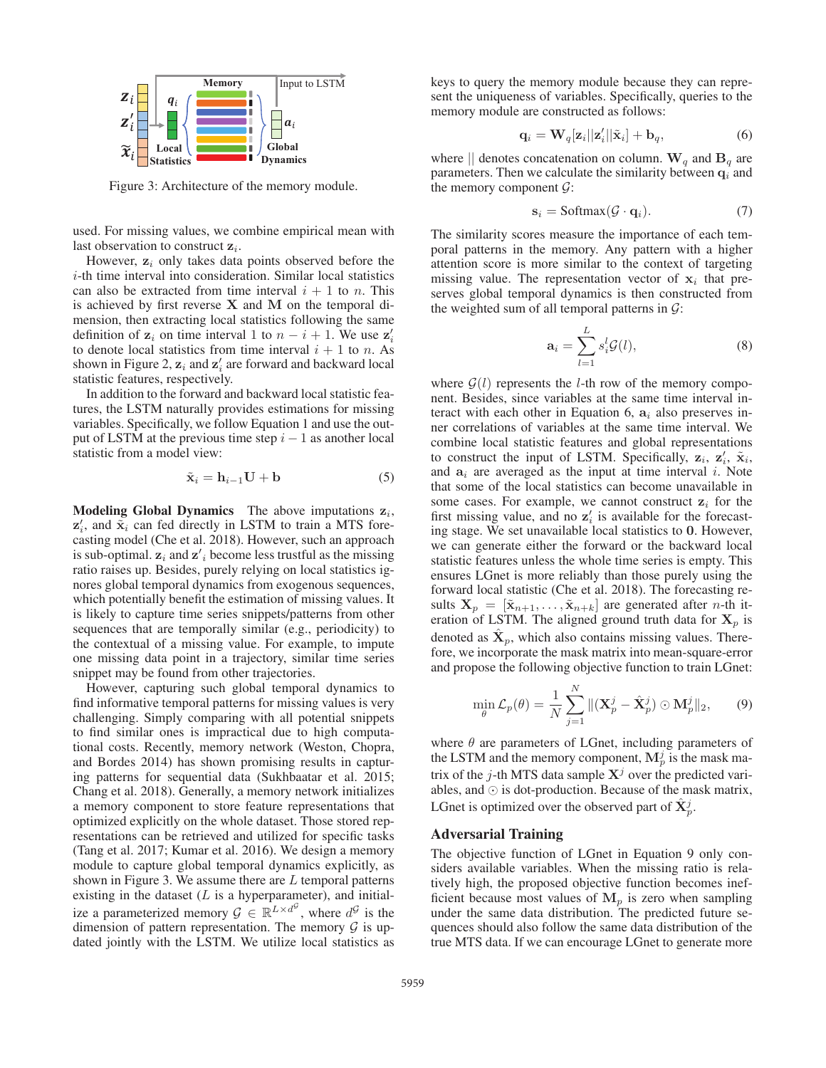

Figure 3: Architecture of the memory module.

used. For missing values, we combine empirical mean with last observation to construct  $z_i$ .

However, **z**<sup>i</sup> only takes data points observed before the i-th time interval into consideration. Similar local statistics can also be extracted from time interval  $i + 1$  to n. This is achieved by first reverse **X** and **M** on the temporal dimension, then extracting local statistics following the same definition of  $z_i$  on time interval 1 to  $n - i + 1$ . We use  $z_i$ to denote local statistics from time interval  $i + 1$  to n. As shown in Figure 2,  $z_i$  and  $z'_i$  are forward and backward local statistic features, respectively.

In addition to the forward and backward local statistic features, the LSTM naturally provides estimations for missing variables. Specifically, we follow Equation 1 and use the output of LSTM at the previous time step  $i - 1$  as another local statistic from a model view:

$$
\tilde{\mathbf{x}}_i = \mathbf{h}_{i-1} \mathbf{U} + \mathbf{b} \tag{5}
$$

**Modeling Global Dynamics** The above imputations  $z_i$ ,  $z_i'$ , and  $\tilde{x}_i$  can fed directly in LSTM to train a MTS forecasting model (Che et al. 2018). However, such an approach is sub-optimal.  $z_i$  and  $z'_i$  become less trustful as the missing ratio raises up. Besides, purely relying on local statistics ignores global temporal dynamics from exogenous sequences, which potentially benefit the estimation of missing values. It is likely to capture time series snippets/patterns from other sequences that are temporally similar (e.g., periodicity) to the contextual of a missing value. For example, to impute one missing data point in a trajectory, similar time series snippet may be found from other trajectories.

However, capturing such global temporal dynamics to find informative temporal patterns for missing values is very challenging. Simply comparing with all potential snippets to find similar ones is impractical due to high computational costs. Recently, memory network (Weston, Chopra, and Bordes 2014) has shown promising results in capturing patterns for sequential data (Sukhbaatar et al. 2015; Chang et al. 2018). Generally, a memory network initializes a memory component to store feature representations that optimized explicitly on the whole dataset. Those stored representations can be retrieved and utilized for specific tasks (Tang et al. 2017; Kumar et al. 2016). We design a memory module to capture global temporal dynamics explicitly, as shown in Figure 3. We assume there are  $L$  temporal patterns existing in the dataset  $(L$  is a hyperparameter), and initialize a parameterized memory  $\mathcal{G} \in \mathbb{R}^{L \times d^{\mathcal{G}}}$ , where  $d^{\mathcal{G}}$  is the dimension of pattern representation. The memory  $G$  is updated jointly with the LSTM. We utilize local statistics as

keys to query the memory module because they can represent the uniqueness of variables. Specifically, queries to the memory module are constructed as follows:

$$
\mathbf{q}_i = \mathbf{W}_q[\mathbf{z}_i || \mathbf{z}'_i || \tilde{\mathbf{x}}_i] + \mathbf{b}_q, \tag{6}
$$

where  $\parallel$  denotes concatenation on column. W<sub>q</sub> and B<sub>q</sub> are parameters. Then we calculate the similarity between  $q_i$  and the memory component  $\mathcal{G}$ :

$$
\mathbf{s}_i = \text{Softmax}(\mathcal{G} \cdot \mathbf{q}_i). \tag{7}
$$

The similarity scores measure the importance of each temporal patterns in the memory. Any pattern with a higher attention score is more similar to the context of targeting missing value. The representation vector of  $x_i$  that preserves global temporal dynamics is then constructed from the weighted sum of all temporal patterns in  $\mathcal{G}$ :

$$
\mathbf{a}_i = \sum_{l=1}^L s_i^l \mathcal{G}(l),\tag{8}
$$

where  $G(l)$  represents the *l*-th row of the memory component. Besides, since variables at the same time interval interact with each other in Equation 6,  $a_i$  also preserves inner correlations of variables at the same time interval. We combine local statistic features and global representations to construct the input of LSTM. Specifically,  $z_i$ ,  $\tilde{z}_i$ ,  $\tilde{x}_i$ , and  $a_i$  are averaged as the input at time interval i. Note that some of the local statistics can become unavailable in some cases. For example, we cannot construct  $z_i$  for the first missing value, and no  $z_i$  is available for the forecasting stage. We set unavailable local statistics to **0**. However, we can generate either the forward or the backward local statistic features unless the whole time series is empty. This ensures LGnet is more reliably than those purely using the forward local statistic (Che et al. 2018). The forecasting results  $X_p = [\tilde{x}_{n+1}, \ldots, \tilde{x}_{n+k}]$  are generated after *n*-th iteration of LSTM. The aligned ground truth data for  $X_p$  is denoted as  $\mathbf{X}_p$ , which also contains missing values. Therefore, we incorporate the mask matrix into mean-square-error and propose the following objective function to train LGnet:

$$
\min_{\theta} \mathcal{L}_p(\theta) = \frac{1}{N} \sum_{j=1}^N \| (\mathbf{X}_p^j - \hat{\mathbf{X}}_p^j) \odot \mathbf{M}_p^j \|_2, \qquad (9)
$$

where  $\theta$  are parameters of LGnet, including parameters of the LSTM and the memory component,  $M_p^j$  is the mask matrix of the j-th MTS data sample  $X<sup>j</sup>$  over the predicted variables, and  $\odot$  is dot-production. Because of the mask matrix, LGnet is optimized over the observed part of  $\hat{\mathbf{X}}_n^j$ .

#### Adversarial Training

The objective function of LGnet in Equation 9 only considers available variables. When the missing ratio is relatively high, the proposed objective function becomes inefficient because most values of  $M_p$  is zero when sampling under the same data distribution. The predicted future sequences should also follow the same data distribution of the true MTS data. If we can encourage LGnet to generate more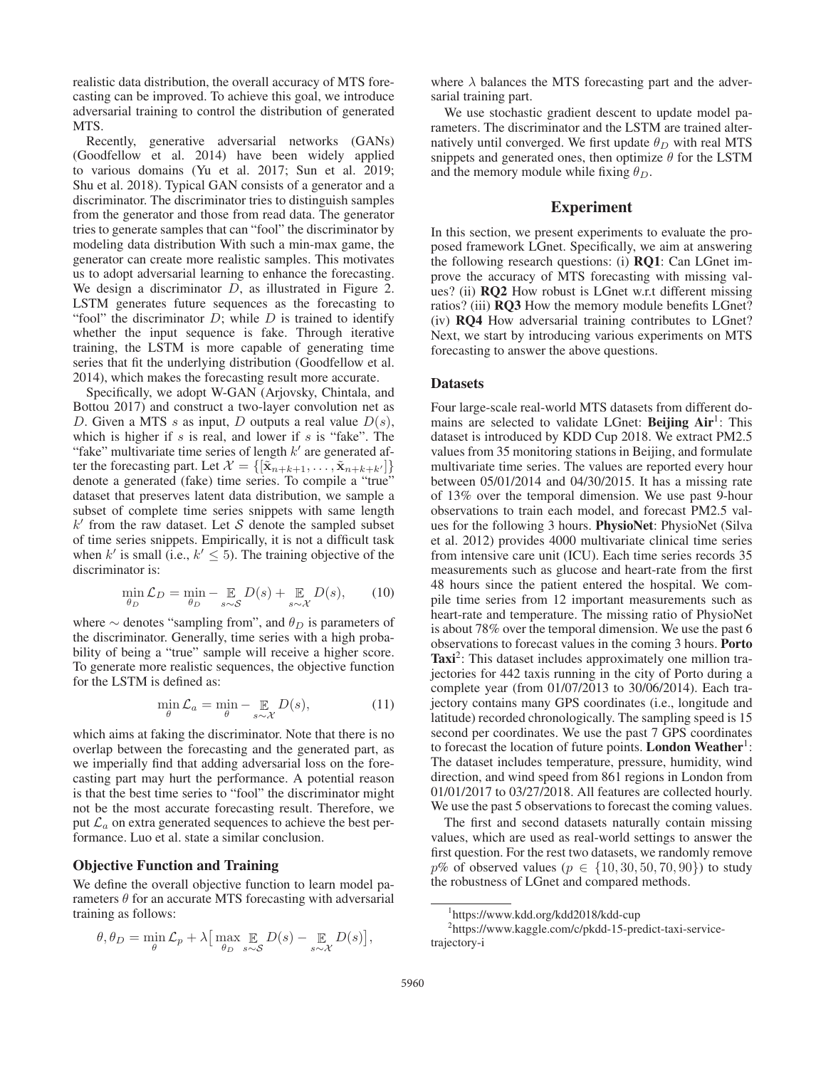realistic data distribution, the overall accuracy of MTS forecasting can be improved. To achieve this goal, we introduce adversarial training to control the distribution of generated MTS.

Recently, generative adversarial networks (GANs) (Goodfellow et al. 2014) have been widely applied to various domains (Yu et al. 2017; Sun et al. 2019; Shu et al. 2018). Typical GAN consists of a generator and a discriminator. The discriminator tries to distinguish samples from the generator and those from read data. The generator tries to generate samples that can "fool" the discriminator by modeling data distribution With such a min-max game, the generator can create more realistic samples. This motivates us to adopt adversarial learning to enhance the forecasting. We design a discriminator  $D$ , as illustrated in Figure 2. LSTM generates future sequences as the forecasting to "fool" the discriminator  $D$ ; while  $D$  is trained to identify whether the input sequence is fake. Through iterative training, the LSTM is more capable of generating time series that fit the underlying distribution (Goodfellow et al. 2014), which makes the forecasting result more accurate.

Specifically, we adopt W-GAN (Arjovsky, Chintala, and Bottou 2017) and construct a two-layer convolution net as D. Given a MTS s as input, D outputs a real value  $D(s)$ , which is higher if  $s$  is real, and lower if  $s$  is "fake". The "fake" multivariate time series of length  $k'$  are generated after the forecasting part. Let  $\mathcal{X} = \{[\tilde{\mathbf{x}}_{n+k+1}, \dots, \tilde{\mathbf{x}}_{n+k+k'}]\}$ denote a generated (fake) time series. To compile a "true" dataset that preserves latent data distribution, we sample a subset of complete time series snippets with same length  $k'$  from the raw dataset. Let S denote the sampled subset of time series snippets. Empirically, it is not a difficult task when k' is small (i.e.,  $k' \leq 5$ ). The training objective of the discriminator is:

$$
\min_{\theta_D} \mathcal{L}_D = \min_{\theta_D} - \mathop{\mathbb{E}}_{s \sim \mathcal{S}} D(s) + \mathop{\mathbb{E}}_{s \sim \mathcal{X}} D(s), \qquad (10)
$$

where  $\sim$  denotes "sampling from", and  $\theta_D$  is parameters of the discriminator. Generally, time series with a high probability of being a "true" sample will receive a higher score. To generate more realistic sequences, the objective function for the LSTM is defined as:

$$
\min_{\theta} \mathcal{L}_a = \min_{\theta} - \mathop{\mathbb{E}}_{s \sim \mathcal{X}} D(s),\tag{11}
$$

which aims at faking the discriminator. Note that there is no overlap between the forecasting and the generated part, as we imperially find that adding adversarial loss on the forecasting part may hurt the performance. A potential reason is that the best time series to "fool" the discriminator might not be the most accurate forecasting result. Therefore, we put  $\mathcal{L}_a$  on extra generated sequences to achieve the best performance. Luo et al. state a similar conclusion.

#### Objective Function and Training

We define the overall objective function to learn model parameters  $\theta$  for an accurate MTS forecasting with adversarial training as follows:

$$
\theta, \theta_D = \min_{\theta} \mathcal{L}_p + \lambda \big[ \max_{\theta_D} \mathop{\mathbb{E}}_{s \sim \mathcal{S}} D(s) - \mathop{\mathbb{E}}_{s \sim \mathcal{X}} D(s) \big],
$$

where  $\lambda$  balances the MTS forecasting part and the adversarial training part.

We use stochastic gradient descent to update model parameters. The discriminator and the LSTM are trained alternatively until converged. We first update  $\theta_D$  with real MTS snippets and generated ones, then optimize  $\theta$  for the LSTM and the memory module while fixing  $\theta_D$ .

# Experiment

In this section, we present experiments to evaluate the proposed framework LGnet. Specifically, we aim at answering the following research questions: (i) RQ1: Can LGnet improve the accuracy of MTS forecasting with missing values? (ii) RQ2 How robust is LGnet w.r.t different missing ratios? (iii) **RQ3** How the memory module benefits LGnet? (iv) RQ4 How adversarial training contributes to LGnet? Next, we start by introducing various experiments on MTS forecasting to answer the above questions.

#### **Datasets**

Four large-scale real-world MTS datasets from different domains are selected to validate LGnet: Beijing  $Air<sup>1</sup>$ : This dataset is introduced by KDD Cup 2018. We extract PM2.5 values from 35 monitoring stations in Beijing, and formulate multivariate time series. The values are reported every hour between 05/01/2014 and 04/30/2015. It has a missing rate of 13% over the temporal dimension. We use past 9-hour observations to train each model, and forecast PM2.5 values for the following 3 hours. PhysioNet: PhysioNet (Silva et al. 2012) provides 4000 multivariate clinical time series from intensive care unit (ICU). Each time series records 35 measurements such as glucose and heart-rate from the first 48 hours since the patient entered the hospital. We compile time series from 12 important measurements such as heart-rate and temperature. The missing ratio of PhysioNet is about 78% over the temporal dimension. We use the past 6 observations to forecast values in the coming 3 hours. Porto Taxi<sup>2</sup>: This dataset includes approximately one million trajectories for 442 taxis running in the city of Porto during a complete year (from 01/07/2013 to 30/06/2014). Each trajectory contains many GPS coordinates (i.e., longitude and latitude) recorded chronologically. The sampling speed is 15 second per coordinates. We use the past 7 GPS coordinates to forecast the location of future points. London Weather<sup>1</sup>: The dataset includes temperature, pressure, humidity, wind direction, and wind speed from 861 regions in London from 01/01/2017 to 03/27/2018. All features are collected hourly. We use the past 5 observations to forecast the coming values.

The first and second datasets naturally contain missing values, which are used as real-world settings to answer the first question. For the rest two datasets, we randomly remove *p*% of observed values ( $p$  ∈ {10, 30, 50, 70, 90}) to study the robustness of LGnet and compared methods.

<sup>1</sup> https://www.kdd.org/kdd2018/kdd-cup

<sup>2</sup> https://www.kaggle.com/c/pkdd-15-predict-taxi-servicetrajectory-i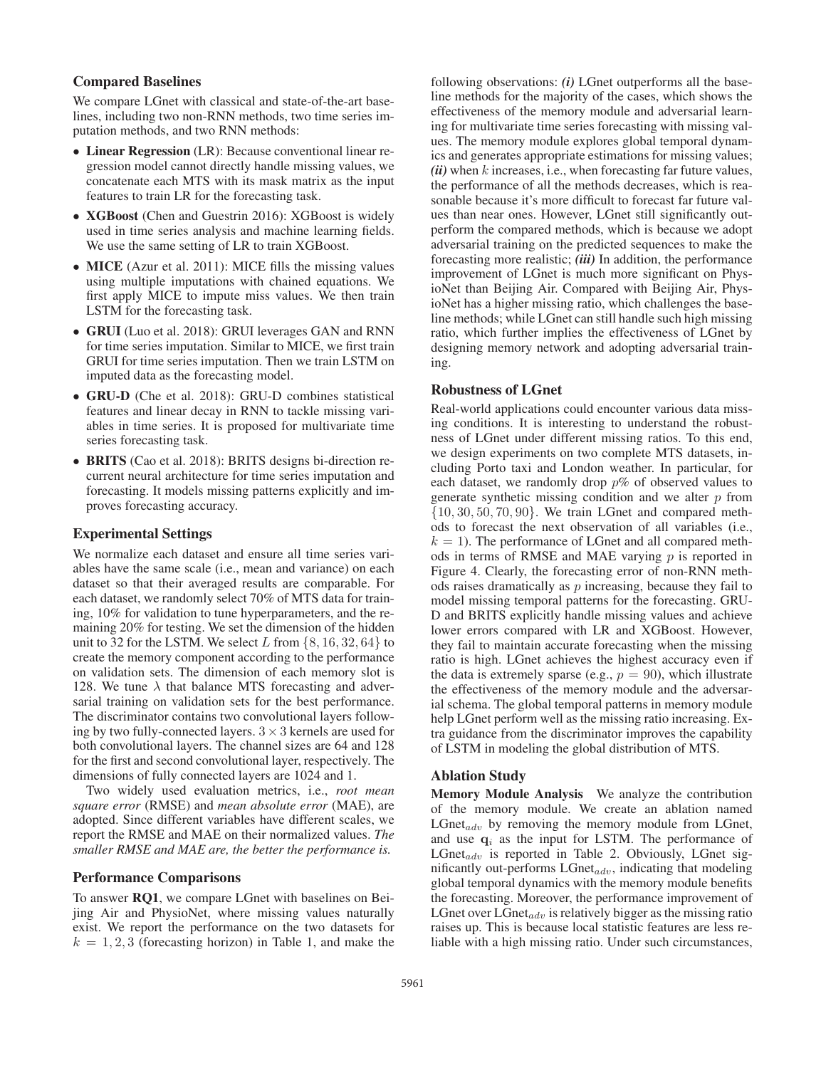# Compared Baselines

We compare LGnet with classical and state-of-the-art baselines, including two non-RNN methods, two time series imputation methods, and two RNN methods:

- Linear Regression (LR): Because conventional linear regression model cannot directly handle missing values, we concatenate each MTS with its mask matrix as the input features to train LR for the forecasting task.
- XGBoost (Chen and Guestrin 2016): XGBoost is widely used in time series analysis and machine learning fields. We use the same setting of LR to train XGBoost.
- MICE (Azur et al. 2011): MICE fills the missing values using multiple imputations with chained equations. We first apply MICE to impute miss values. We then train LSTM for the forecasting task.
- GRUI (Luo et al. 2018): GRUI leverages GAN and RNN for time series imputation. Similar to MICE, we first train GRUI for time series imputation. Then we train LSTM on imputed data as the forecasting model.
- GRU-D (Che et al. 2018): GRU-D combines statistical features and linear decay in RNN to tackle missing variables in time series. It is proposed for multivariate time series forecasting task.
- BRITS (Cao et al. 2018): BRITS designs bi-direction recurrent neural architecture for time series imputation and forecasting. It models missing patterns explicitly and improves forecasting accuracy.

# Experimental Settings

We normalize each dataset and ensure all time series variables have the same scale (i.e., mean and variance) on each dataset so that their averaged results are comparable. For each dataset, we randomly select 70% of MTS data for training, 10% for validation to tune hyperparameters, and the remaining 20% for testing. We set the dimension of the hidden unit to 32 for the LSTM. We select L from  $\{8, 16, 32, 64\}$  to create the memory component according to the performance on validation sets. The dimension of each memory slot is 128. We tune  $\lambda$  that balance MTS forecasting and adversarial training on validation sets for the best performance. The discriminator contains two convolutional layers following by two fully-connected layers.  $3 \times 3$  kernels are used for both convolutional layers. The channel sizes are 64 and 128 for the first and second convolutional layer, respectively. The dimensions of fully connected layers are 1024 and 1.

Two widely used evaluation metrics, i.e., *root mean square error* (RMSE) and *mean absolute error* (MAE), are adopted. Since different variables have different scales, we report the RMSE and MAE on their normalized values. *The smaller RMSE and MAE are, the better the performance is.*

#### Performance Comparisons

To answer RQ1, we compare LGnet with baselines on Beijing Air and PhysioNet, where missing values naturally exist. We report the performance on the two datasets for  $k = 1, 2, 3$  (forecasting horizon) in Table 1, and make the

following observations: *(i)* LGnet outperforms all the baseline methods for the majority of the cases, which shows the effectiveness of the memory module and adversarial learning for multivariate time series forecasting with missing values. The memory module explores global temporal dynamics and generates appropriate estimations for missing values; *(ii)* when k increases, i.e., when forecasting far future values, the performance of all the methods decreases, which is reasonable because it's more difficult to forecast far future values than near ones. However, LGnet still significantly outperform the compared methods, which is because we adopt adversarial training on the predicted sequences to make the forecasting more realistic; *(iii)* In addition, the performance improvement of LGnet is much more significant on PhysioNet than Beijing Air. Compared with Beijing Air, PhysioNet has a higher missing ratio, which challenges the baseline methods; while LGnet can still handle such high missing ratio, which further implies the effectiveness of LGnet by designing memory network and adopting adversarial training.

# Robustness of LGnet

Real-world applications could encounter various data missing conditions. It is interesting to understand the robustness of LGnet under different missing ratios. To this end, we design experiments on two complete MTS datasets, including Porto taxi and London weather. In particular, for each dataset, we randomly drop  $p\%$  of observed values to generate synthetic missing condition and we alter  $p$  from  $\{10, 30, 50, 70, 90\}$ . We train LGnet and compared methods to forecast the next observation of all variables (i.e.,  $k = 1$ ). The performance of LGnet and all compared methods in terms of RMSE and MAE varying  $p$  is reported in Figure 4. Clearly, the forecasting error of non-RNN methods raises dramatically as  $p$  increasing, because they fail to model missing temporal patterns for the forecasting. GRU-D and BRITS explicitly handle missing values and achieve lower errors compared with LR and XGBoost. However, they fail to maintain accurate forecasting when the missing ratio is high. LGnet achieves the highest accuracy even if the data is extremely sparse (e.g.,  $p = 90$ ), which illustrate the effectiveness of the memory module and the adversarial schema. The global temporal patterns in memory module help LGnet perform well as the missing ratio increasing. Extra guidance from the discriminator improves the capability of LSTM in modeling the global distribution of MTS.

# Ablation Study

Memory Module Analysis We analyze the contribution of the memory module. We create an ablation named  $LGnet_{adv}$  by removing the memory module from LGnet, and use  $q_i$  as the input for LSTM. The performance of  $LGnet_{adv}$  is reported in Table 2. Obviously, LGnet significantly out-performs  $LGnet_{adv}$ , indicating that modeling global temporal dynamics with the memory module benefits the forecasting. Moreover, the performance improvement of LGnet over  $LGnet_{adv}$  is relatively bigger as the missing ratio raises up. This is because local statistic features are less reliable with a high missing ratio. Under such circumstances,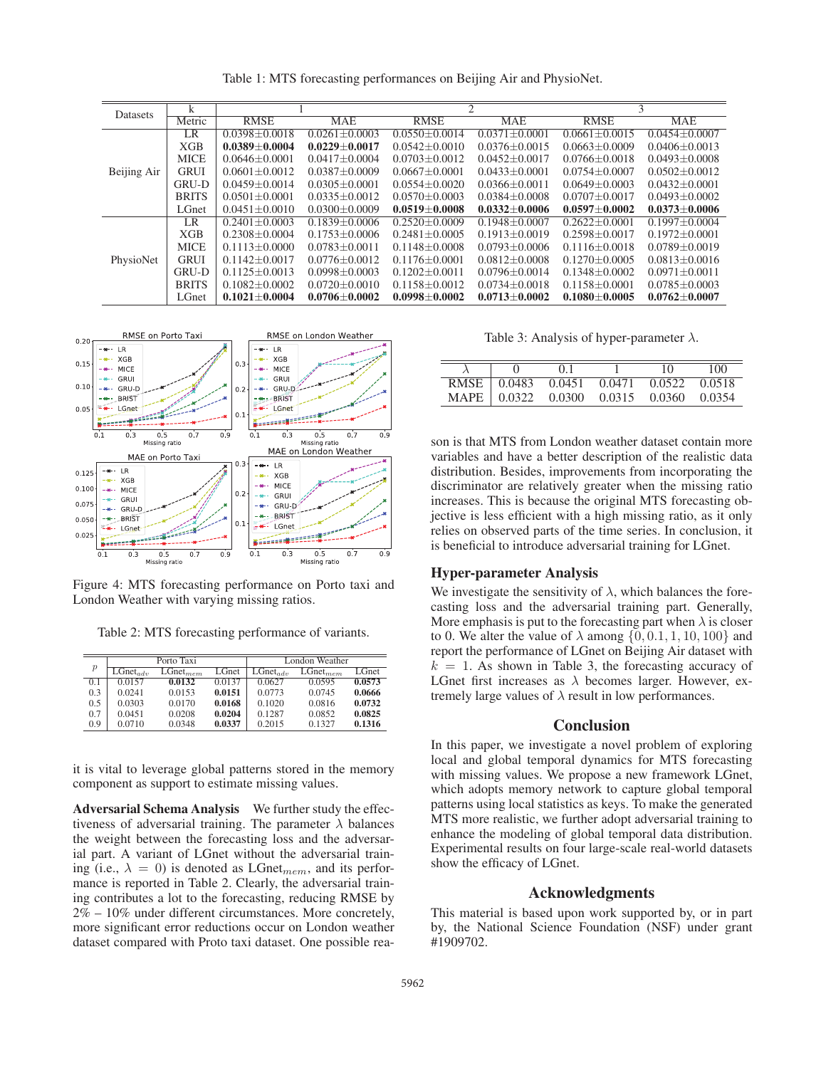| Datasets    | $\overline{k}$ |                     |                   | $\overline{2}$    |                     | 3                   |                   |
|-------------|----------------|---------------------|-------------------|-------------------|---------------------|---------------------|-------------------|
|             | Metric         | <b>RMSE</b>         | <b>MAE</b>        | <b>RMSE</b>       | <b>MAE</b>          | <b>RMSE</b>         | <b>MAE</b>        |
| Beijing Air | LR             | $0.0398 + 0.0018$   | $0.0261 + 0.0003$ | $0.0550 + 0.0014$ | $0.0371 \pm 0.0001$ | $0.0661 \pm 0.0015$ | $0.0454 + 0.0007$ |
|             | XGB            | $0.0389 \pm 0.0004$ | $0.0229 + 0.0017$ | $0.0542 + 0.0010$ | $0.0376 + 0.0015$   | $0.0663 + 0.0009$   | $0.0406 + 0.0013$ |
|             | <b>MICE</b>    | $0.0646 + 0.0001$   | $0.0417 + 0.0004$ | $0.0703 + 0.0012$ | $0.0452 + 0.0017$   | $0.0766 + 0.0018$   | $0.0493 + 0.0008$ |
|             | <b>GRUI</b>    | $0.0601 + 0.0012$   | $0.0387 + 0.0009$ | $0.0667 + 0.0001$ | $0.0433 + 0.0001$   | $0.0754 + 0.0007$   | $0.0502 + 0.0012$ |
|             | GRU-D          | $0.0459 + 0.0014$   | $0.0305 + 0.0001$ | $0.0554 + 0.0020$ | $0.0366 + 0.0011$   | $0.0649 + 0.0003$   | $0.0432 + 0.0001$ |
|             | <b>BRITS</b>   | $0.0501 + 0.0001$   | $0.0335 + 0.0012$ | $0.0570 + 0.0003$ | $0.0384 + 0.0008$   | $0.0707 + 0.0017$   | $0.0493 + 0.0002$ |
|             | LGnet          | $0.0451 \pm 0.0010$ | $0.0300 + 0.0009$ | $0.0519\pm0.0008$ | $0.0332 + 0.0006$   | $0.0597 + 0.0002$   | $0.0373 + 0.0006$ |
| PhysioNet   | LR             | $0.2401 + 0.0003$   | $0.1839 + 0.0006$ | $0.2520 + 0.0009$ | $0.1948 + 0.0007$   | $0.2622 + 0.0001$   | $0.1997 + 0.0004$ |
|             | XGB            | $0.2308 + 0.0004$   | $0.1753 + 0.0006$ | $0.2481 + 0.0005$ | $0.1913 + 0.0019$   | $0.2598 + 0.0017$   | $0.1972 + 0.0001$ |
|             | <b>MICE</b>    | $0.1113 + 0.0000$   | $0.0783 + 0.0011$ | $0.1148 + 0.0008$ | $0.0793 + 0.0006$   | $0.1116 + 0.0018$   | $0.0789 + 0.0019$ |
|             | <b>GRUI</b>    | $0.1142 + 0.0017$   | $0.0776 + 0.0012$ | $0.1176 + 0.0001$ | $0.0812 + 0.0008$   | $0.1270 + 0.0005$   | $0.0813 + 0.0016$ |
|             | <b>GRU-D</b>   | $0.1125 + 0.0013$   | $0.0998 + 0.0003$ | $0.1202 + 0.0011$ | $0.0796 + 0.0014$   | $0.1348 + 0.0002$   | $0.0971 + 0.0011$ |
|             | <b>BRITS</b>   | $0.1082 + 0.0002$   | $0.0720 + 0.0010$ | $0.1158 + 0.0012$ | $0.0734 + 0.0018$   | $0.1158 + 0.0001$   | $0.0785 + 0.0003$ |
|             | LGnet          | $0.1021 + 0.0004$   | $0.0706 + 0.0002$ | $0.0998 + 0.0002$ | $0.0713 + 0.0002$   | $0.1080 + 0.0005$   | $0.0762 + 0.0007$ |

Table 1: MTS forecasting performances on Beijing Air and PhysioNet.



Figure 4: MTS forecasting performance on Porto taxi and London Weather with varying missing ratios.

Table 2: MTS forecasting performance of variants.

| $\boldsymbol{p}$ |               | Porto Taxi           |        | London Weather |               |        |  |
|------------------|---------------|----------------------|--------|----------------|---------------|--------|--|
|                  | $LGnet_{adv}$ | $L\text{Gnet}_{mem}$ | LGnet  | $LGnet_{adv}$  | $LGnet_{mem}$ | LGnet  |  |
| 0.1              | 0.0157        | 0.0132               | 0.0137 | 0.0627         | 0.0595        | 0.0573 |  |
| 0.3              | 0.0241        | 0.0153               | 0.0151 | 0.0773         | 0.0745        | 0.0666 |  |
| 0.5              | 0.0303        | 0.0170               | 0.0168 | 0.1020         | 0.0816        | 0.0732 |  |
| 0.7              | 0.0451        | 0.0208               | 0.0204 | 0.1287         | 0.0852        | 0.0825 |  |
| 0.9              | 0.0710        | 0.0348               | 0.0337 | 0.2015         | 0.1327        | 0.1316 |  |

it is vital to leverage global patterns stored in the memory component as support to estimate missing values.

Adversarial Schema Analysis We further study the effectiveness of adversarial training. The parameter  $\lambda$  balances the weight between the forecasting loss and the adversarial part. A variant of LGnet without the adversarial training (i.e.,  $\lambda = 0$ ) is denoted as LGnet<sub>mem</sub>, and its performance is reported in Table 2. Clearly, the adversarial training contributes a lot to the forecasting, reducing RMSE by 2% – 10% under different circumstances. More concretely, more significant error reductions occur on London weather dataset compared with Proto taxi dataset. One possible rea-

Table 3: Analysis of hyper-parameter  $\lambda$ .

| <b>RMSE</b> | 0.0483 | 0.0451 | 0.0471 | 0.0522 | 0.0518 |
|-------------|--------|--------|--------|--------|--------|
| MAPE.       | 0.0322 | 0.0300 | 0.0315 | 0.0360 | 0.0354 |

son is that MTS from London weather dataset contain more variables and have a better description of the realistic data distribution. Besides, improvements from incorporating the discriminator are relatively greater when the missing ratio increases. This is because the original MTS forecasting objective is less efficient with a high missing ratio, as it only relies on observed parts of the time series. In conclusion, it is beneficial to introduce adversarial training for LGnet.

#### Hyper-parameter Analysis

We investigate the sensitivity of  $\lambda$ , which balances the forecasting loss and the adversarial training part. Generally, More emphasis is put to the forecasting part when  $\lambda$  is closer to 0. We alter the value of  $\lambda$  among  $\{0, 0.1, 1, 10, 100\}$  and report the performance of LGnet on Beijing Air dataset with  $k = 1$ . As shown in Table 3, the forecasting accuracy of LGnet first increases as  $\lambda$  becomes larger. However, extremely large values of  $\lambda$  result in low performances.

# Conclusion

In this paper, we investigate a novel problem of exploring local and global temporal dynamics for MTS forecasting with missing values. We propose a new framework LGnet, which adopts memory network to capture global temporal patterns using local statistics as keys. To make the generated MTS more realistic, we further adopt adversarial training to enhance the modeling of global temporal data distribution. Experimental results on four large-scale real-world datasets show the efficacy of LGnet.

# Acknowledgments

This material is based upon work supported by, or in part by, the National Science Foundation (NSF) under grant #1909702.